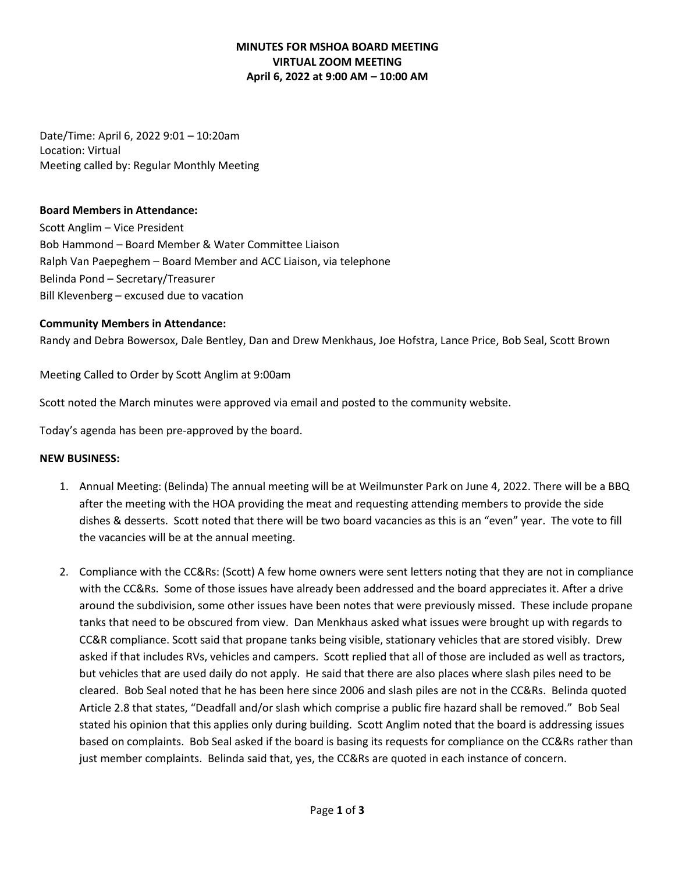# **MINUTES FOR MSHOA BOARD MEETING VIRTUAL ZOOM MEETING April 6, 2022 at 9:00 AM – 10:00 AM**

Date/Time: April 6, 2022 9:01 – 10:20am Location: Virtual Meeting called by: Regular Monthly Meeting

#### **Board Members in Attendance:**

Scott Anglim – Vice President Bob Hammond – Board Member & Water Committee Liaison Ralph Van Paepeghem – Board Member and ACC Liaison, via telephone Belinda Pond – Secretary/Treasurer Bill Klevenberg – excused due to vacation

### **Community Members in Attendance:**

Randy and Debra Bowersox, Dale Bentley, Dan and Drew Menkhaus, Joe Hofstra, Lance Price, Bob Seal, Scott Brown

Meeting Called to Order by Scott Anglim at 9:00am

Scott noted the March minutes were approved via email and posted to the community website.

Today's agenda has been pre-approved by the board.

#### **NEW BUSINESS:**

- 1. Annual Meeting: (Belinda) The annual meeting will be at Weilmunster Park on June 4, 2022. There will be a BBQ after the meeting with the HOA providing the meat and requesting attending members to provide the side dishes & desserts. Scott noted that there will be two board vacancies as this is an "even" year. The vote to fill the vacancies will be at the annual meeting.
- 2. Compliance with the CC&Rs: (Scott) A few home owners were sent letters noting that they are not in compliance with the CC&Rs. Some of those issues have already been addressed and the board appreciates it. After a drive around the subdivision, some other issues have been notes that were previously missed. These include propane tanks that need to be obscured from view. Dan Menkhaus asked what issues were brought up with regards to CC&R compliance. Scott said that propane tanks being visible, stationary vehicles that are stored visibly. Drew asked if that includes RVs, vehicles and campers. Scott replied that all of those are included as well as tractors, but vehicles that are used daily do not apply. He said that there are also places where slash piles need to be cleared. Bob Seal noted that he has been here since 2006 and slash piles are not in the CC&Rs. Belinda quoted Article 2.8 that states, "Deadfall and/or slash which comprise a public fire hazard shall be removed." Bob Seal stated his opinion that this applies only during building. Scott Anglim noted that the board is addressing issues based on complaints. Bob Seal asked if the board is basing its requests for compliance on the CC&Rs rather than just member complaints. Belinda said that, yes, the CC&Rs are quoted in each instance of concern.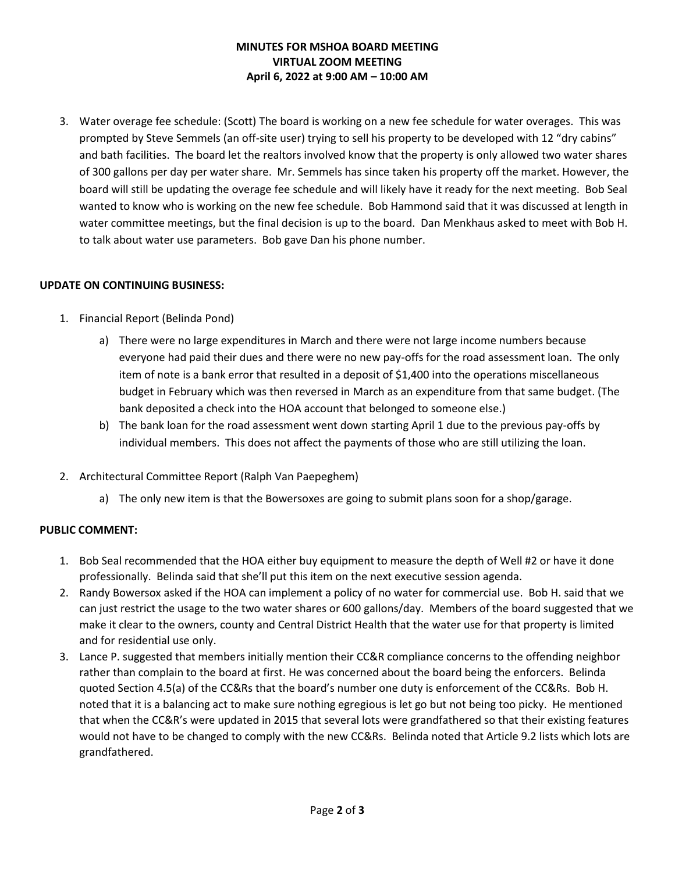# **MINUTES FOR MSHOA BOARD MEETING VIRTUAL ZOOM MEETING April 6, 2022 at 9:00 AM – 10:00 AM**

3. Water overage fee schedule: (Scott) The board is working on a new fee schedule for water overages. This was prompted by Steve Semmels (an off-site user) trying to sell his property to be developed with 12 "dry cabins" and bath facilities. The board let the realtors involved know that the property is only allowed two water shares of 300 gallons per day per water share. Mr. Semmels has since taken his property off the market. However, the board will still be updating the overage fee schedule and will likely have it ready for the next meeting. Bob Seal wanted to know who is working on the new fee schedule. Bob Hammond said that it was discussed at length in water committee meetings, but the final decision is up to the board. Dan Menkhaus asked to meet with Bob H. to talk about water use parameters. Bob gave Dan his phone number.

### **UPDATE ON CONTINUING BUSINESS:**

- 1. Financial Report (Belinda Pond)
	- a) There were no large expenditures in March and there were not large income numbers because everyone had paid their dues and there were no new pay-offs for the road assessment loan. The only item of note is a bank error that resulted in a deposit of \$1,400 into the operations miscellaneous budget in February which was then reversed in March as an expenditure from that same budget. (The bank deposited a check into the HOA account that belonged to someone else.)
	- b) The bank loan for the road assessment went down starting April 1 due to the previous pay-offs by individual members. This does not affect the payments of those who are still utilizing the loan.
- 2. Architectural Committee Report (Ralph Van Paepeghem)
	- a) The only new item is that the Bowersoxes are going to submit plans soon for a shop/garage.

### **PUBLIC COMMENT:**

- 1. Bob Seal recommended that the HOA either buy equipment to measure the depth of Well #2 or have it done professionally. Belinda said that she'll put this item on the next executive session agenda.
- 2. Randy Bowersox asked if the HOA can implement a policy of no water for commercial use. Bob H. said that we can just restrict the usage to the two water shares or 600 gallons/day. Members of the board suggested that we make it clear to the owners, county and Central District Health that the water use for that property is limited and for residential use only.
- 3. Lance P. suggested that members initially mention their CC&R compliance concerns to the offending neighbor rather than complain to the board at first. He was concerned about the board being the enforcers. Belinda quoted Section 4.5(a) of the CC&Rs that the board's number one duty is enforcement of the CC&Rs. Bob H. noted that it is a balancing act to make sure nothing egregious is let go but not being too picky. He mentioned that when the CC&R's were updated in 2015 that several lots were grandfathered so that their existing features would not have to be changed to comply with the new CC&Rs. Belinda noted that Article 9.2 lists which lots are grandfathered.